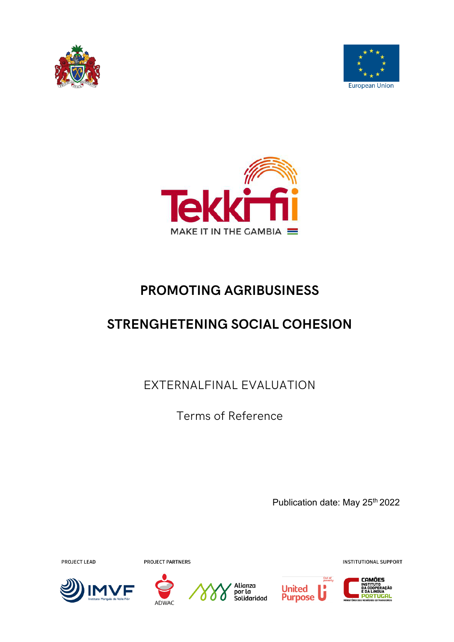





# **PROMOTING AGRIBUSINESS**

# **STRENGHETENING SOCIAL COHESION**

EXTERNALFINAL EVALUATION

Terms of Reference

Publication date: May 25<sup>th</sup> 2022

**PROJECT LEAD** 

**PROJECT PARTNERS** 











**INSTITUTIONAL SUPPORT**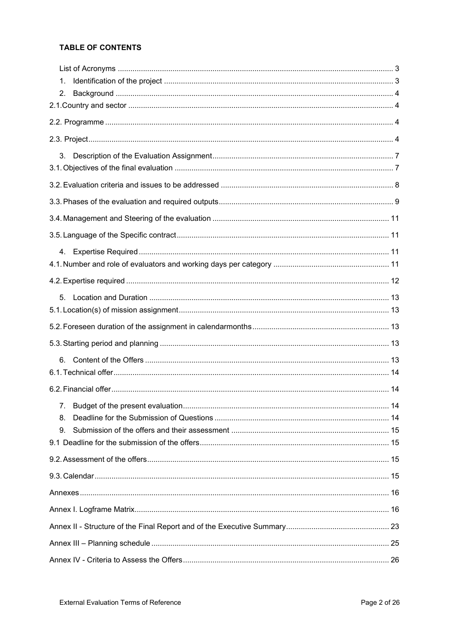# **TABLE OF CONTENTS**

| 1. |  |
|----|--|
| 2. |  |
|    |  |
|    |  |
|    |  |
| 3. |  |
|    |  |
|    |  |
|    |  |
|    |  |
|    |  |
|    |  |
|    |  |
|    |  |
| 5. |  |
|    |  |
|    |  |
|    |  |
| 6. |  |
|    |  |
|    |  |
|    |  |
| 8. |  |
| 9. |  |
|    |  |
|    |  |
|    |  |
|    |  |
|    |  |
|    |  |
|    |  |
|    |  |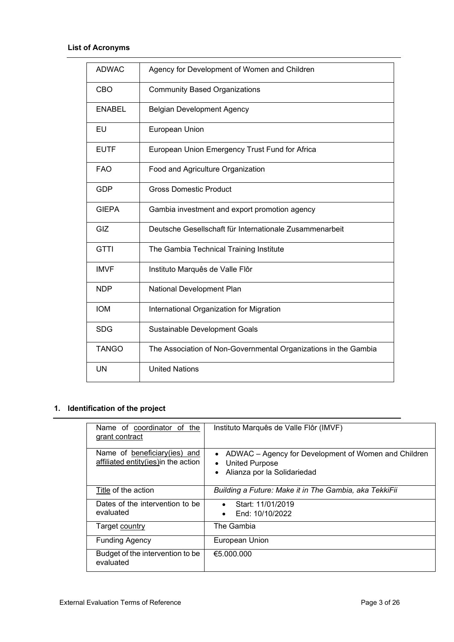<span id="page-2-0"></span>

| <b>ADWAC</b>  | Agency for Development of Women and Children                    |
|---------------|-----------------------------------------------------------------|
| CBO           | <b>Community Based Organizations</b>                            |
| <b>ENABEL</b> | <b>Belgian Development Agency</b>                               |
| EU            | European Union                                                  |
| <b>EUTF</b>   | European Union Emergency Trust Fund for Africa                  |
| <b>FAO</b>    | Food and Agriculture Organization                               |
| <b>GDP</b>    | <b>Gross Domestic Product</b>                                   |
| <b>GIEPA</b>  | Gambia investment and export promotion agency                   |
| GIZ           | Deutsche Gesellschaft für Internationale Zusammenarbeit         |
| <b>GTTI</b>   | The Gambia Technical Training Institute                         |
| <b>IMVF</b>   | Instituto Marquês de Valle Flôr                                 |
| <b>NDP</b>    | National Development Plan                                       |
| <b>IOM</b>    | International Organization for Migration                        |
| <b>SDG</b>    | Sustainable Development Goals                                   |
| <b>TANGO</b>  | The Association of Non-Governmental Organizations in the Gambia |
| <b>UN</b>     | <b>United Nations</b>                                           |

# <span id="page-2-1"></span>**1. Identification of the project**

| Name of coordinator of the<br>grant contract                           | Instituto Marquês de Valle Flôr (IMVF)                                                                                    |
|------------------------------------------------------------------------|---------------------------------------------------------------------------------------------------------------------------|
| Name of beneficiary (ies) and<br>affiliated entity (ies) in the action | ADWAC – Agency for Development of Women and Children<br><b>United Purpose</b><br>$\bullet$<br>Alianza por la Solidariedad |
| Title of the action                                                    | Building a Future: Make it in The Gambia, aka TekkiFii                                                                    |
| Dates of the intervention to be<br>evaluated                           | Start: 11/01/2019<br>$\bullet$<br>End: 10/10/2022<br>$\bullet$                                                            |
| Target country                                                         | The Gambia                                                                                                                |
| <b>Funding Agency</b>                                                  | European Union                                                                                                            |
| Budget of the intervention to be<br>evaluated                          | €5.000.000                                                                                                                |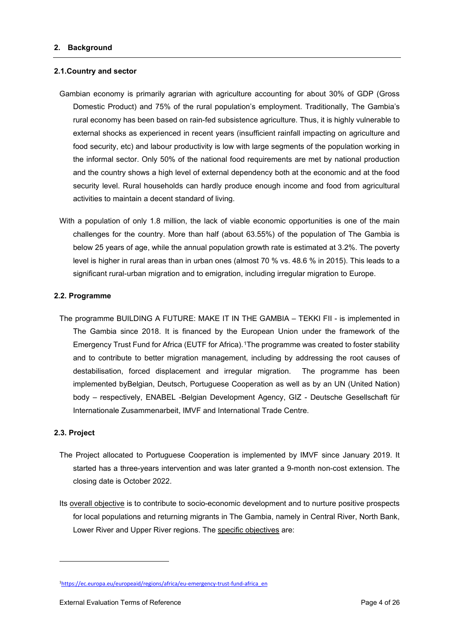## <span id="page-3-1"></span><span id="page-3-0"></span>**2.1.Country and sector**

- Gambian economy is primarily agrarian with agriculture accounting for about 30% of GDP (Gross Domestic Product) and 75% of the rural population's employment. Traditionally, The Gambia's rural economy has been based on rain-fed subsistence agriculture. Thus, it is highly vulnerable to external shocks as experienced in recent years (insufficient rainfall impacting on agriculture and food security, etc) and labour productivity is low with large segments of the population working in the informal sector. Only 50% of the national food requirements are met by national production and the country shows a high level of external dependency both at the economic and at the food security level. Rural households can hardly produce enough income and food from agricultural activities to maintain a decent standard of living.
- With a population of only 1.8 million, the lack of viable economic opportunities is one of the main challenges for the country. More than half (about 63.55%) of the population of The Gambia is below 25 years of age, while the annual population growth rate is estimated at 3.2%. The poverty level is higher in rural areas than in urban ones (almost 70 % vs. 48.6 % in 2015). This leads to a significant rural-urban migration and to emigration, including irregular migration to Europe.

## <span id="page-3-2"></span>**2.2. Programme**

The programme BUILDING A FUTURE: MAKE IT IN THE GAMBIA – TEKKI FII - is implemented in The Gambia since 2018. It is financed by the European Union under the framework of the Emergency Trust Fund for Africa (EUTF for Africa).[1T](#page-3-4)he programme was created to foster stability and to contribute to better migration management, including by addressing the root causes of destabilisation, forced displacement and irregular migration. The programme has been implemented byBelgian, Deutsch, Portuguese Cooperation as well as by an UN (United Nation) body – respectively, ENABEL -Belgian Development Agency, GIZ - Deutsche Gesellschaft für Internationale Zusammenarbeit, IMVF and International Trade Centre.

### <span id="page-3-3"></span>**2.3. Project**

- The Project allocated to Portuguese Cooperation is implemented by IMVF since January 2019. It started has a three-years intervention and was later granted a 9-month non-cost extension. The closing date is October 2022.
- Its overall objective is to contribute to socio-economic development and to nurture positive prospects for local populations and returning migrants in The Gambia, namely in Central River, North Bank, Lower River and Upper River regions. The specific objectives are:

<span id="page-3-4"></span><sup>1</sup> [https://ec.europa.eu/europeaid/regions/africa/eu-emergency-trust-fund-africa\\_en](https://ec.europa.eu/europeaid/regions/africa/eu-emergency-trust-fund-africa_en)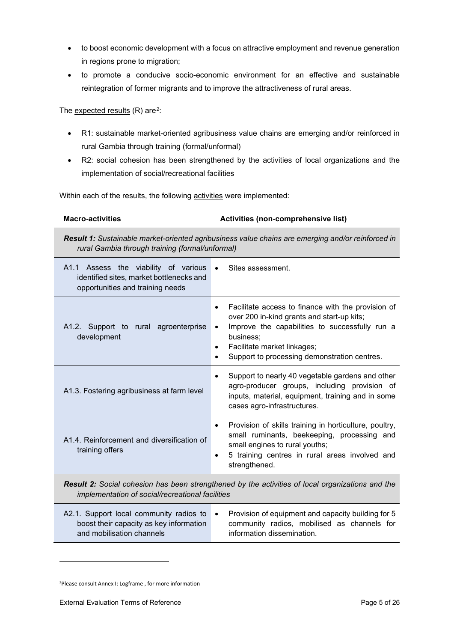- to boost economic development with a focus on attractive employment and revenue generation in regions prone to migration;
- to promote a conducive socio-economic environment for an effective and sustainable reintegration of former migrants and to improve the attractiveness of rural areas.

## The expected results  $(R)$  are<sup>2</sup>:

- R1: sustainable market-oriented agribusiness value chains are emerging and/or reinforced in rural Gambia through training (formal/unformal)
- R2: social cohesion has been strengthened by the activities of local organizations and the implementation of social/recreational facilities

Within each of the results, the following activities were implemented:

| <b>Macro-activities</b>                                                                                                                              | Activities (non-comprehensive list)                                                                                                                                                                                                                                                                |  |  |  |  |  |
|------------------------------------------------------------------------------------------------------------------------------------------------------|----------------------------------------------------------------------------------------------------------------------------------------------------------------------------------------------------------------------------------------------------------------------------------------------------|--|--|--|--|--|
|                                                                                                                                                      | Result 1: Sustainable market-oriented agribusiness value chains are emerging and/or reinforced in<br>rural Gambia through training (formal/unformal)                                                                                                                                               |  |  |  |  |  |
| A1.1 Assess the viability of various<br>identified sites, market bottlenecks and<br>opportunities and training needs                                 | Sites assessment.<br>$\bullet$                                                                                                                                                                                                                                                                     |  |  |  |  |  |
| A1.2. Support to rural agroenterprise<br>development                                                                                                 | Facilitate access to finance with the provision of<br>$\bullet$<br>over 200 in-kind grants and start-up kits;<br>Improve the capabilities to successfully run a<br>$\bullet$<br>business;<br>Facilitate market linkages;<br>$\bullet$<br>Support to processing demonstration centres.<br>$\bullet$ |  |  |  |  |  |
| A1.3. Fostering agribusiness at farm level                                                                                                           | Support to nearly 40 vegetable gardens and other<br>$\bullet$<br>agro-producer groups, including provision of<br>inputs, material, equipment, training and in some<br>cases agro-infrastructures.                                                                                                  |  |  |  |  |  |
| A1.4. Reinforcement and diversification of<br>training offers                                                                                        | Provision of skills training in horticulture, poultry,<br>$\bullet$<br>small ruminants, beekeeping, processing and<br>small engines to rural youths;<br>5 training centres in rural areas involved and<br>$\bullet$<br>strengthened.                                                               |  |  |  |  |  |
| Result 2: Social cohesion has been strengthened by the activities of local organizations and the<br>implementation of social/recreational facilities |                                                                                                                                                                                                                                                                                                    |  |  |  |  |  |
| A2.1. Support local community radios to<br>boost their capacity as key information<br>and mobilisation channels                                      | Provision of equipment and capacity building for 5<br>$\bullet$<br>community radios, mobilised as channels for<br>information dissemination.                                                                                                                                                       |  |  |  |  |  |

<span id="page-4-0"></span>2 Please consult Annex I: Logframe , for more information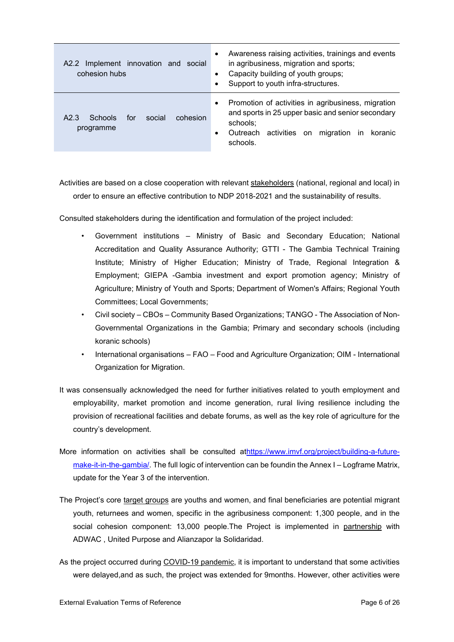| Implement innovation and social<br>A2.2<br>cohesion hubs              | Awareness raising activities, trainings and events<br>in agribusiness, migration and sports;<br>Capacity building of youth groups;<br>Support to youth infra-structures.                                         |  |  |
|-----------------------------------------------------------------------|------------------------------------------------------------------------------------------------------------------------------------------------------------------------------------------------------------------|--|--|
| social<br>cohesion<br>Schools<br>for<br>A <sub>2</sub> 3<br>programme | Promotion of activities in agribusiness, migration<br>$\bullet$<br>and sports in 25 upper basic and senior secondary<br>schools;<br>activities<br>Outreach<br>migration<br>koranic<br>on<br>in.<br>٠<br>schools. |  |  |

Activities are based on a close cooperation with relevant stakeholders (national, regional and local) in order to ensure an effective contribution to NDP 2018-2021 and the sustainability of results.

Consulted stakeholders during the identification and formulation of the project included:

- Government institutions Ministry of Basic and Secondary Education; National Accreditation and Quality Assurance Authority; GTTI - The Gambia Technical Training Institute; Ministry of Higher Education; Ministry of Trade, Regional Integration & Employment; GIEPA -Gambia investment and export promotion agency; Ministry of Agriculture; Ministry of Youth and Sports; Department of Women's Affairs; Regional Youth Committees; Local Governments;
- Civil society CBOs Community Based Organizations; TANGO The Association of Non-Governmental Organizations in the Gambia; Primary and secondary schools (including koranic schools)
- International organisations FAO Food and Agriculture Organization; OIM International Organization for Migration.
- It was consensually acknowledged the need for further initiatives related to youth employment and employability, market promotion and income generation, rural living resilience including the provision of recreational facilities and debate forums, as well as the key role of agriculture for the country's development.
- More information on activities shall be consulted a[thttps://www.imvf.org/project/building-a-future](https://www.imvf.org/project/building-a-future-make-it-in-the-gambia/)[make-it-in-the-gambia/.](https://www.imvf.org/project/building-a-future-make-it-in-the-gambia/) The full logic of intervention can be foundin the Annex I – Logframe Matrix, update for the Year 3 of the intervention.
- The Project's core target groups are youths and women, and final beneficiaries are potential migrant youth, returnees and women, specific in the agribusiness component: 1,300 people, and in the social cohesion component: 13,000 people. The Project is implemented in partnership with ADWAC , United Purpose and Alianzapor la Solidaridad.
- As the project occurred during COVID-19 pandemic, it is important to understand that some activities were delayed,and as such, the project was extended for 9months. However, other activities were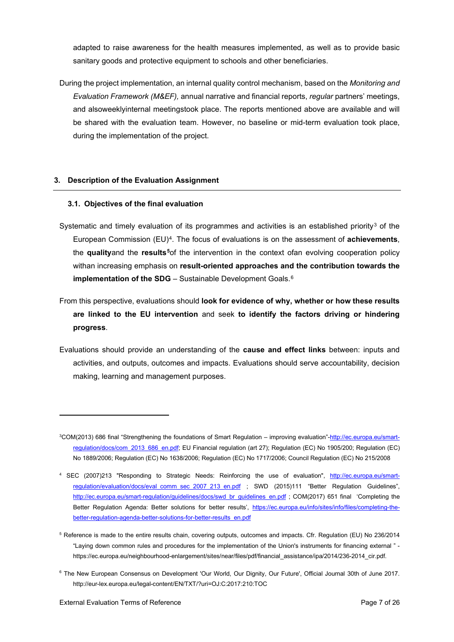adapted to raise awareness for the health measures implemented, as well as to provide basic sanitary goods and protective equipment to schools and other beneficiaries.

During the project implementation, an internal quality control mechanism, based on the *Monitoring and Evaluation Framework (M&EF),* annual narrative and financial reports, *regular* partners' meetings, and alsoweeklyinternal meetingstook place. The reports mentioned above are available and will be shared with the evaluation team. However, no baseline or mid-term evaluation took place, during the implementation of the project.

## <span id="page-6-0"></span>**3. Description of the Evaluation Assignment**

## <span id="page-6-1"></span>**3.1. Objectives of the final evaluation**

- Systematic and timely evaluation of its programmes and activities is an established priority<sup>[3](#page-6-2)</sup> of the European Commission (EU)[4.](#page-6-3) The focus of evaluations is on the assessment of **achievements**, the **quality**and the **results[5](#page-6-4)**of the intervention in the context ofan evolving cooperation policy withan increasing emphasis on **result-oriented approaches and the contribution towards the implementation of the SDG** – Sustainable Development Goals.<sup>[6](#page-6-5)</sup>
- From this perspective, evaluations should **look for evidence of why, whether or how these results are linked to the EU intervention** and seek **to identify the factors driving or hindering progress**.
- Evaluations should provide an understanding of the **cause and effect links** between: inputs and activities, and outputs, outcomes and impacts. Evaluations should serve accountability, decision making, learning and management purposes.

<span id="page-6-5"></span><sup>6</sup> The New European Consensus on Development 'Our World, Our Dignity, Our Future', Official Journal 30th of June 2017. http://eur-lex.europa.eu/legal-content/EN/TXT/?uri=OJ:C:2017:210:TOC

<span id="page-6-2"></span><sup>&</sup>lt;sup>3</sup>COM(2013) 686 final "Strengthening the foundations of Smart Regulation – improving evaluation"-<u>http://ec.europa.eu/smart-</u> [regulation/docs/com\\_2013\\_686\\_en.pdf;](http://ec.europa.eu/smart-regulation/docs/com_2013_686_en.pdf) EU Financial regulation (art 27); Regulation (EC) No 1905/200; Regulation (EC) No 1889/2006; Regulation (EC) No 1638/2006; Regulation (EC) No 1717/2006; Council Regulation (EC) No 215/2008

<span id="page-6-3"></span><sup>4</sup> SEC (2007)213 "Responding to Strategic Needs: Reinforcing the use of evaluation", [http://ec.europa.eu/smart](http://ec.europa.eu/smart-regulation/evaluation/docs/eval_comm_sec_2007_213_en.pdf)[regulation/evaluation/docs/eval\\_comm\\_sec\\_2007\\_213\\_en.pdf](http://ec.europa.eu/smart-regulation/evaluation/docs/eval_comm_sec_2007_213_en.pdf) ; SWD (2015)111 "Better Regulation Guidelines", [http://ec.europa.eu/smart-regulation/guidelines/docs/swd\\_br\\_guidelines\\_en.pdf](http://ec.europa.eu/smart-regulation/guidelines/docs/swd_br_guidelines_en.pdf) ; COM(2017) 651 final 'Completing the Better Regulation Agenda: Better solutions for better results', [https://ec.europa.eu/info/sites/info/files/completing-the](https://ec.europa.eu/info/sites/info/files/completing-the-better-regulation-agenda-better-solutions-for-better-results_en.pdf)[better-regulation-agenda-better-solutions-for-better-results\\_en.pdf](https://ec.europa.eu/info/sites/info/files/completing-the-better-regulation-agenda-better-solutions-for-better-results_en.pdf)

<span id="page-6-4"></span><sup>5</sup> Reference is made to the entire results chain, covering outputs, outcomes and impacts. Cfr. Regulation (EU) No 236/2014 "Laying down common rules and procedures for the implementation of the Union's instruments for financing external " https://ec.europa.eu/neighbourhood-enlargement/sites/near/files/pdf/financial\_assistance/ipa/2014/236-2014\_cir.pdf.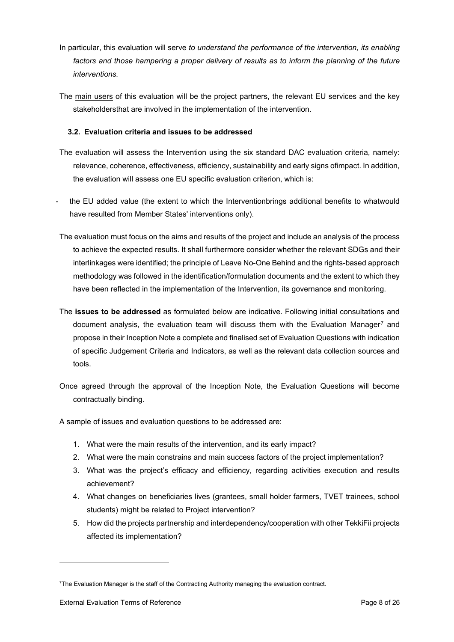- In particular, this evaluation will serve *to understand the performance of the intervention, its enabling*  factors and those hampering a proper delivery of results as to inform the planning of the future *interventions.*
- The main users of this evaluation will be the project partners, the relevant EU services and the key stakeholdersthat are involved in the implementation of the intervention.

## <span id="page-7-0"></span>**3.2. Evaluation criteria and issues to be addressed**

- The evaluation will assess the Intervention using the six standard DAC evaluation criteria, namely: relevance, coherence, effectiveness, efficiency, sustainability and early signs ofimpact. In addition, the evaluation will assess one EU specific evaluation criterion, which is:
- the EU added value (the extent to which the Interventionbrings additional benefits to whatwould have resulted from Member States' interventions only).
- The evaluation must focus on the aims and results of the project and include an analysis of the process to achieve the expected results. It shall furthermore consider whether the relevant SDGs and their interlinkages were identified; the principle of Leave No-One Behind and the rights-based approach methodology was followed in the identification/formulation documents and the extent to which they have been reflected in the implementation of the Intervention, its governance and monitoring.
- The **issues to be addressed** as formulated below are indicative. Following initial consultations and document analysis, the evaluation team will discuss them with the Evaluation Manager[7](#page-7-1) and propose in their Inception Note a complete and finalised set of Evaluation Questions with indication of specific Judgement Criteria and Indicators, as well as the relevant data collection sources and tools.
- Once agreed through the approval of the Inception Note, the Evaluation Questions will become contractually binding.

A sample of issues and evaluation questions to be addressed are:

- 1. What were the main results of the intervention, and its early impact?
- 2. What were the main constrains and main success factors of the project implementation?
- 3. What was the project's efficacy and efficiency, regarding activities execution and results achievement?
- 4. What changes on beneficiaries lives (grantees, small holder farmers, TVET trainees, school students) might be related to Project intervention?
- 5. How did the projects partnership and interdependency/cooperation with other TekkiFii projects affected its implementation?

<span id="page-7-1"></span><sup>7</sup> The Evaluation Manager is the staff of the Contracting Authority managing the evaluation contract.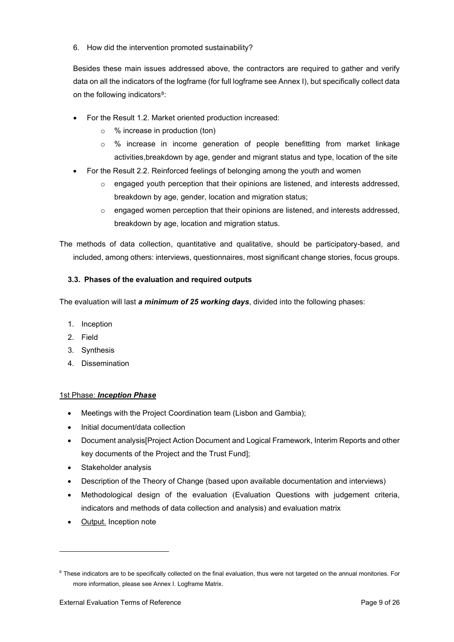6. How did the intervention promoted sustainability?

Besides these main issues addressed above, the contractors are required to gather and verify data on all the indicators of the logframe (for full logframe see Annex I), but specifically collect data on the following indicators<sup>[8](#page-8-1)</sup>:

- For the Result 1.2. Market oriented production increased:
	- o % increase in production (ton)
	- o % increase in income generation of people benefitting from market linkage activities,breakdown by age, gender and migrant status and type, location of the site
- For the Result 2.2. Reinforced feelings of belonging among the youth and women
	- $\circ$  engaged youth perception that their opinions are listened, and interests addressed, breakdown by age, gender, location and migration status;
	- o engaged women perception that their opinions are listened, and interests addressed, breakdown by age, location and migration status.

The methods of data collection, quantitative and qualitative, should be participatory-based, and included, among others: interviews, questionnaires, most significant change stories, focus groups.

# <span id="page-8-0"></span>**3.3. Phases of the evaluation and required outputs**

The evaluation will last *a minimum of 25 working days*, divided into the following phases:

- 1. Inception
- 2. Field
- 3. Synthesis
- 4. Dissemination

## 1st Phase: *Inception Phase*

- Meetings with the Project Coordination team (Lisbon and Gambia);
- Initial document/data collection
- Document analysis[Project Action Document and Logical Framework, Interim Reports and other key documents of the Project and the Trust Fund];
- Stakeholder analysis
- Description of the Theory of Change (based upon available documentation and interviews)
- Methodological design of the evaluation (Evaluation Questions with judgement criteria, indicators and methods of data collection and analysis) and evaluation matrix
- Output. Inception note

<span id="page-8-1"></span><sup>&</sup>lt;sup>8</sup> These indicators are to be specifically collected on the final evaluation, thus were not targeted on the annual monitories. For more information, please see Annex I. Logframe Matrix.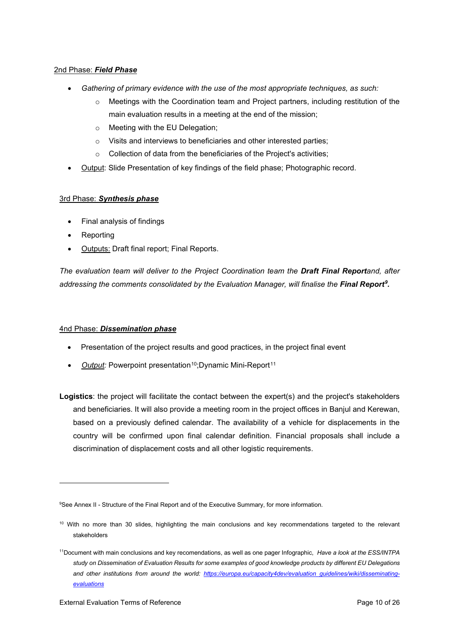## 2nd Phase: *Field Phase*

- *Gathering of primary evidence with the use of the most appropriate techniques, as such:*
	- o Meetings with the Coordination team and Project partners, including restitution of the main evaluation results in a meeting at the end of the mission;
	- o Meeting with the EU Delegation;
	- o Visits and interviews to beneficiaries and other interested parties;
	- o Collection of data from the beneficiaries of the Project's activities;
- Output: Slide Presentation of key findings of the field phase; Photographic record.

## 3rd Phase: *Synthesis phase*

- Final analysis of findings
- Reporting
- Outputs: Draft final report; Final Reports.

*The evaluation team will deliver to the Project Coordination team the Draft Final Reportand, after addressing the comments consolidated by the Evaluation Manager, will finalise the Final Report[9](#page-9-0).* 

## 4nd Phase: *Dissemination phase*

- Presentation of the project results and good practices, in the project final event
- Output: Powerpoint presentation<sup>[10](#page-9-1)</sup>;Dynamic Mini-Report<sup>[11](#page-9-2)</sup>

**Logistics**: the project will facilitate the contact between the expert(s) and the project's stakeholders and beneficiaries. It will also provide a meeting room in the project offices in Banjul and Kerewan, based on a previously defined calendar. The availability of a vehicle for displacements in the country will be confirmed upon final calendar definition. Financial proposals shall include a discrimination of displacement costs and all other logistic requirements.

<span id="page-9-0"></span><sup>9</sup> See Annex II - Structure of the Final Report and of the Executive Summary, for more information.

<span id="page-9-1"></span><sup>&</sup>lt;sup>10</sup> With no more than 30 slides, highlighting the main conclusions and key recommendations targeted to the relevant stakeholders

<span id="page-9-2"></span><sup>11</sup>Document with main conclusions and key recomendations, as well as one pager Infographic, *Have a look at the ESS/INTPA study on Dissemination of Evaluation Results for some examples of good knowledge products by different EU Delegations and other institutions from around the world: [https://europa.eu/capacity4dev/evaluation\\_guidelines/wiki/disseminating](https://europa.eu/capacity4dev/evaluation_guidelines/wiki/disseminating-evaluations)[evaluations](https://europa.eu/capacity4dev/evaluation_guidelines/wiki/disseminating-evaluations)*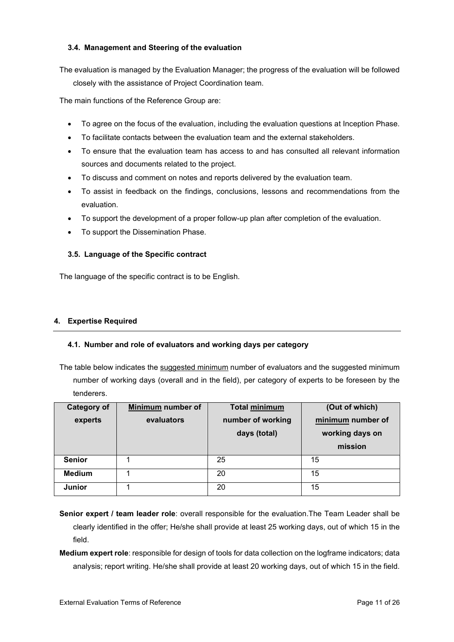## <span id="page-10-0"></span>**3.4. Management and Steering of the evaluation**

The evaluation is managed by the Evaluation Manager; the progress of the evaluation will be followed closely with the assistance of Project Coordination team.

The main functions of the Reference Group are:

- To agree on the focus of the evaluation, including the evaluation questions at Inception Phase.
- To facilitate contacts between the evaluation team and the external stakeholders.
- To ensure that the evaluation team has access to and has consulted all relevant information sources and documents related to the project.
- To discuss and comment on notes and reports delivered by the evaluation team.
- To assist in feedback on the findings, conclusions, lessons and recommendations from the evaluation.
- To support the development of a proper follow-up plan after completion of the evaluation.
- To support the Dissemination Phase.

## <span id="page-10-1"></span>**3.5. Language of the Specific contract**

The language of the specific contract is to be English.

## <span id="page-10-2"></span>**4. Expertise Required**

## <span id="page-10-3"></span>**4.1. Number and role of evaluators and working days per category**

The table below indicates the suggested minimum number of evaluators and the suggested minimum number of working days (overall and in the field), per category of experts to be foreseen by the tenderers.

| <b>Category of</b> | Minimum number of | <b>Total minimum</b> | (Out of which)    |
|--------------------|-------------------|----------------------|-------------------|
| experts            | evaluators        | number of working    | minimum number of |
|                    |                   | days (total)         | working days on   |
|                    |                   |                      | mission           |
| <b>Senior</b>      |                   | 25                   | 15                |
| <b>Medium</b>      |                   | 20                   | 15                |
| <b>Junior</b>      |                   | 20                   | 15                |

**Senior expert / team leader role**: overall responsible for the evaluation.The Team Leader shall be clearly identified in the offer; He/she shall provide at least 25 working days, out of which 15 in the field.

**Medium expert role**: responsible for design of tools for data collection on the logframe indicators; data analysis; report writing. He/she shall provide at least 20 working days, out of which 15 in the field.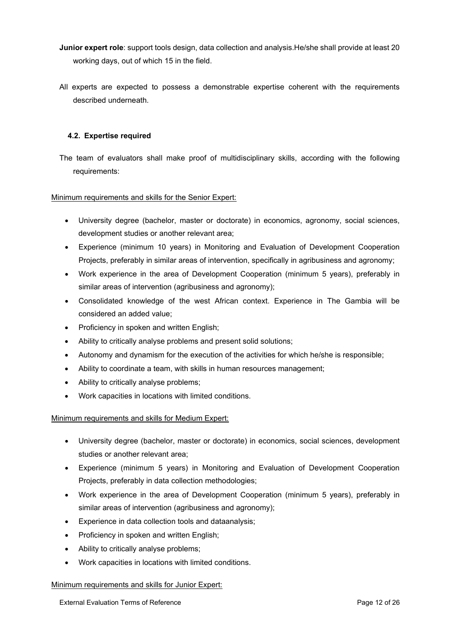- **Junior expert role**: support tools design, data collection and analysis.He/she shall provide at least 20 working days, out of which 15 in the field.
- All experts are expected to possess a demonstrable expertise coherent with the requirements described underneath.

## <span id="page-11-0"></span>**4.2. Expertise required**

The team of evaluators shall make proof of multidisciplinary skills, according with the following requirements:

## Minimum requirements and skills for the Senior Expert:

- University degree (bachelor, master or doctorate) in economics, agronomy, social sciences, development studies or another relevant area;
- Experience (minimum 10 years) in Monitoring and Evaluation of Development Cooperation Projects, preferably in similar areas of intervention, specifically in agribusiness and agronomy;
- Work experience in the area of Development Cooperation (minimum 5 years), preferably in similar areas of intervention (agribusiness and agronomy);
- Consolidated knowledge of the west African context. Experience in The Gambia will be considered an added value;
- Proficiency in spoken and written English;
- Ability to critically analyse problems and present solid solutions;
- Autonomy and dynamism for the execution of the activities for which he/she is responsible;
- Ability to coordinate a team, with skills in human resources management;
- Ability to critically analyse problems;
- Work capacities in locations with limited conditions.

## Minimum requirements and skills for Medium Expert:

- University degree (bachelor, master or doctorate) in economics, social sciences, development studies or another relevant area;
- Experience (minimum 5 years) in Monitoring and Evaluation of Development Cooperation Projects, preferably in data collection methodologies;
- Work experience in the area of Development Cooperation (minimum 5 years), preferably in similar areas of intervention (agribusiness and agronomy);
- Experience in data collection tools and dataanalysis;
- Proficiency in spoken and written English;
- Ability to critically analyse problems;
- Work capacities in locations with limited conditions.

### Minimum requirements and skills for Junior Expert: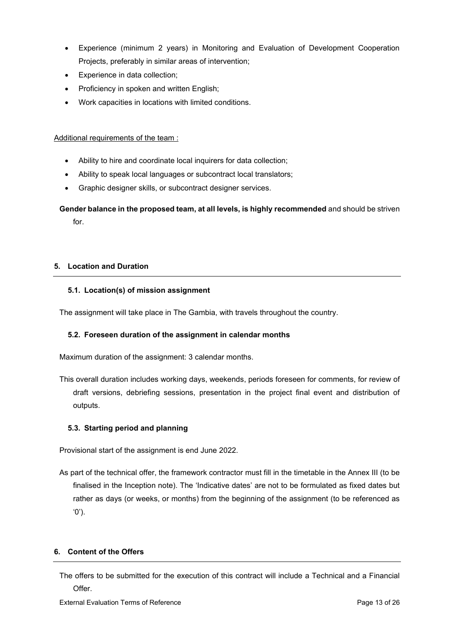- Experience (minimum 2 years) in Monitoring and Evaluation of Development Cooperation Projects, preferably in similar areas of intervention;
- Experience in data collection;
- Proficiency in spoken and written English;
- Work capacities in locations with limited conditions.

## Additional requirements of the team :

- Ability to hire and coordinate local inquirers for data collection;
- Ability to speak local languages or subcontract local translators;
- Graphic designer skills, or subcontract designer services.

# **Gender balance in the proposed team, at all levels, is highly recommended** and should be striven for.

## <span id="page-12-0"></span>**5. Location and Duration**

## <span id="page-12-1"></span>**5.1. Location(s) of mission assignment**

The assignment will take place in The Gambia, with travels throughout the country.

## <span id="page-12-2"></span>**5.2. Foreseen duration of the assignment in calendar months**

Maximum duration of the assignment: 3 calendar months.

This overall duration includes working days, weekends, periods foreseen for comments, for review of draft versions, debriefing sessions, presentation in the project final event and distribution of outputs.

## <span id="page-12-3"></span>**5.3. Starting period and planning**

Provisional start of the assignment is end June 2022.

As part of the technical offer, the framework contractor must fill in the timetable in the Annex III (to be finalised in the Inception note). The 'Indicative dates' are not to be formulated as fixed dates but rather as days (or weeks, or months) from the beginning of the assignment (to be referenced as '0').

### <span id="page-12-4"></span>**6. Content of the Offers**

The offers to be submitted for the execution of this contract will include a Technical and a Financial Offer.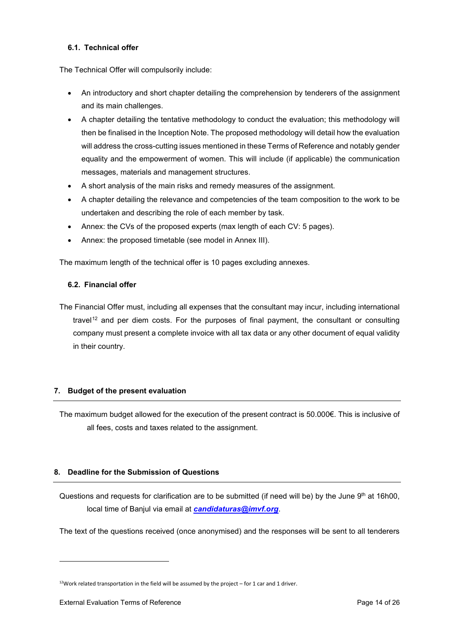## <span id="page-13-0"></span>**6.1. Technical offer**

The Technical Offer will compulsorily include:

- An introductory and short chapter detailing the comprehension by tenderers of the assignment and its main challenges.
- A chapter detailing the tentative methodology to conduct the evaluation; this methodology will then be finalised in the Inception Note. The proposed methodology will detail how the evaluation will address the cross-cutting issues mentioned in these Terms of Reference and notably gender equality and the empowerment of women. This will include (if applicable) the communication messages, materials and management structures.
- A short analysis of the main risks and remedy measures of the assignment.
- A chapter detailing the relevance and competencies of the team composition to the work to be undertaken and describing the role of each member by task.
- Annex: the CVs of the proposed experts (max length of each CV: 5 pages).
- Annex: the proposed timetable (see model in Annex III).

The maximum length of the technical offer is 10 pages excluding annexes.

## <span id="page-13-1"></span>**6.2. Financial offer**

The Financial Offer must, including all expenses that the consultant may incur, including international travel<sup>[12](#page-13-4)</sup> and per diem costs. For the purposes of final payment, the consultant or consulting company must present a complete invoice with all tax data or any other document of equal validity in their country.

## <span id="page-13-2"></span>**7. Budget of the present evaluation**

The maximum budget allowed for the execution of the present contract is 50.000€. This is inclusive of all fees, costs and taxes related to the assignment.

## <span id="page-13-3"></span>**8. Deadline for the Submission of Questions**

Questions and requests for clarification are to be submitted (if need will be) by the June 9<sup>th</sup> at 16h00, local time of Banjul via email at *[candidaturas@imvf.org](mailto:candidaturas@imvf.org)*.

The text of the questions received (once anonymised) and the responses will be sent to all tenderers

<span id="page-13-4"></span> $12$ Work related transportation in the field will be assumed by the project – for 1 car and 1 driver.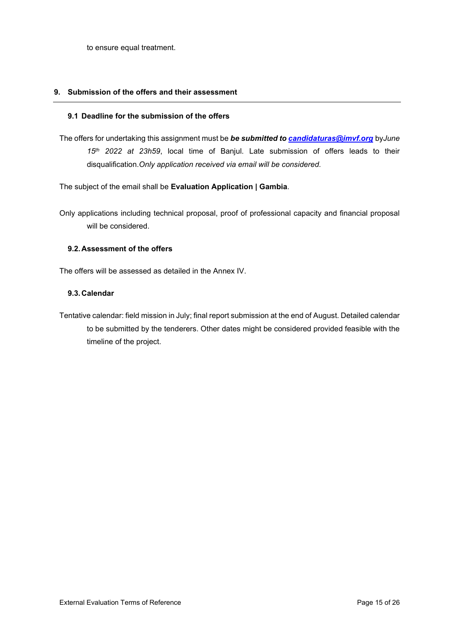to ensure equal treatment.

## <span id="page-14-0"></span>**9. Submission of the offers and their assessment**

## <span id="page-14-1"></span>**9.1 Deadline for the submission of the offers**

The offers for undertaking this assignment must be *be submitted to [candidaturas@imvf.org](mailto:candidaturas@imvf.org)* by*June 15th 2022 at 23h59*, local time of Banjul. Late submission of offers leads to their disqualification.*Only application received via email will be considered.*

The subject of the email shall be **Evaluation Application | Gambia**.

Only applications including technical proposal, proof of professional capacity and financial proposal will be considered.

## <span id="page-14-2"></span>**9.2. Assessment of the offers**

The offers will be assessed as detailed in the Annex IV.

## <span id="page-14-3"></span>**9.3. Calendar**

Tentative calendar: field mission in July; final report submission at the end of August. Detailed calendar to be submitted by the tenderers. Other dates might be considered provided feasible with the timeline of the project.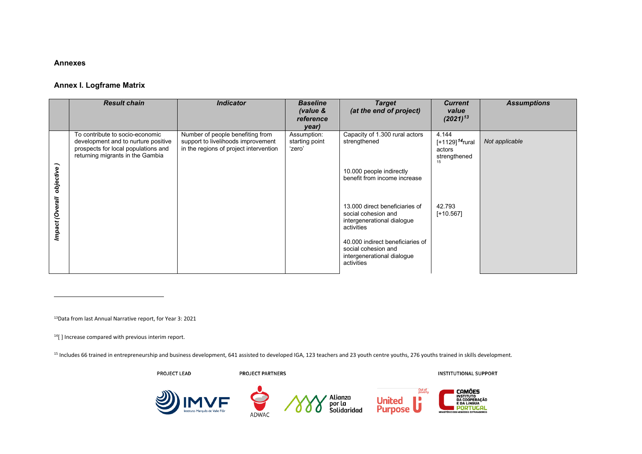#### <span id="page-15-4"></span><span id="page-15-3"></span><span id="page-15-2"></span>**Annexes**

### **Annex I. Logframe Matrix**

|                 | <b>Result chain</b>                                                                                                                               | <b>Indicator</b>                                                                                                 | <b>Baseline</b><br>(value &<br>reference | <b>Target</b><br>(at the end of project)                                                            | <b>Current</b><br>value<br>$(2021)^{13}$                             | <b>Assumptions</b> |
|-----------------|---------------------------------------------------------------------------------------------------------------------------------------------------|------------------------------------------------------------------------------------------------------------------|------------------------------------------|-----------------------------------------------------------------------------------------------------|----------------------------------------------------------------------|--------------------|
|                 |                                                                                                                                                   |                                                                                                                  | year)                                    |                                                                                                     |                                                                      |                    |
|                 | To contribute to socio-economic<br>development and to nurture positive<br>prospects for local populations and<br>returning migrants in the Gambia | Number of people benefiting from<br>support to livelihoods improvement<br>in the regions of project intervention | Assumption:<br>starting point<br>'zero'  | Capacity of 1.300 rural actors<br>strengthened                                                      | 4.144<br>[+1129] <sup>14</sup> rural<br>actors<br>strengthened<br>15 | Not applicable     |
| objective)      |                                                                                                                                                   |                                                                                                                  |                                          | 10.000 people indirectly<br>benefit from income increase                                            |                                                                      |                    |
| Impact (Overall |                                                                                                                                                   |                                                                                                                  |                                          | 13,000 direct beneficiaries of<br>social cohesion and<br>intergenerational dialogue<br>activities   | 42.793<br>$[+10.567]$                                                |                    |
|                 |                                                                                                                                                   |                                                                                                                  |                                          | 40,000 indirect beneficiaries of<br>social cohesion and<br>intergenerational dialogue<br>activities |                                                                      |                    |

<span id="page-15-1"></span><span id="page-15-0"></span>13Data from last Annual Narrative report, for Year 3: 2021

<sup>14</sup>[] Increase compared with previous interim report.

<sup>15</sup> Includes 66 trained in entrepreneurship and business development, 641 assisted to developed IGA, 123 teachers and 23 youth centre youths, 276 youths trained in skills development.

PROJECT LEAD

**PROJECT PARTNERS** 

**INSTITUTIONAL SUPPORT** 

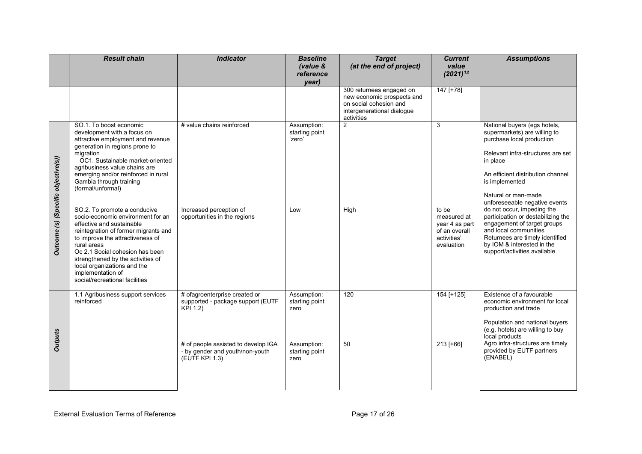|                                     | <b>Result chain</b>                                                                                                                                                                                                                                                                                                                                                                                                                                                                                                                                                                                                                                               | <b>Indicator</b>                                                                                                                                                           | <b>Baseline</b><br>(value &<br>reference<br>year)                              | <b>Target</b><br>(at the end of project)                                                                                     | <b>Current</b><br>value<br>$(2021)^{13}$                                                               | <b>Assumptions</b>                                                                                                                                                                                                                                                                                                                                                                                                                                                                     |
|-------------------------------------|-------------------------------------------------------------------------------------------------------------------------------------------------------------------------------------------------------------------------------------------------------------------------------------------------------------------------------------------------------------------------------------------------------------------------------------------------------------------------------------------------------------------------------------------------------------------------------------------------------------------------------------------------------------------|----------------------------------------------------------------------------------------------------------------------------------------------------------------------------|--------------------------------------------------------------------------------|------------------------------------------------------------------------------------------------------------------------------|--------------------------------------------------------------------------------------------------------|----------------------------------------------------------------------------------------------------------------------------------------------------------------------------------------------------------------------------------------------------------------------------------------------------------------------------------------------------------------------------------------------------------------------------------------------------------------------------------------|
|                                     |                                                                                                                                                                                                                                                                                                                                                                                                                                                                                                                                                                                                                                                                   |                                                                                                                                                                            |                                                                                | 300 returnees engaged on<br>new economic prospects and<br>on social cohesion and<br>intergenerational dialogue<br>activities | $147$ [+78]                                                                                            |                                                                                                                                                                                                                                                                                                                                                                                                                                                                                        |
| Outcome (s) (Specific objective(s)) | SO.1. To boost economic<br>development with a focus on<br>attractive employment and revenue<br>generation in regions prone to<br>migration<br>OC1. Sustainable market-oriented<br>agribusiness value chains are<br>emerging and/or reinforced in rural<br>Gambia through training<br>(formal/unformal)<br>SO.2. To promote a conducive<br>socio-economic environment for an<br>effective and sustainable<br>reintegration of former migrants and<br>to improve the attractiveness of<br>rural areas<br>Oc 2.1 Social cohesion has been<br>strengthened by the activities of<br>local organizations and the<br>implementation of<br>social/recreational facilities | # value chains reinforced<br>Increased perception of<br>opportunities in the regions                                                                                       | Assumption:<br>starting point<br>'zero'<br>Low                                 | $\overline{2}$<br>High                                                                                                       | $\overline{3}$<br>to be<br>measured at<br>year 4 as part<br>of an overall<br>activities'<br>evaluation | National buyers (egs hotels,<br>supermarkets) are willing to<br>purchase local production<br>Relevant infra-structures are set<br>in place<br>An efficient distribution channel<br>is implemented<br>Natural or man-made<br>unforeseeable negative events<br>do not occur, impeding the<br>participation or destabilizing the<br>engagement of target groups<br>and local communities<br>Returnees are timely identified<br>by IOM & interested in the<br>support/activities available |
| <b>Outputs</b>                      | 1.1 Agribusiness support services<br>reinforced                                                                                                                                                                                                                                                                                                                                                                                                                                                                                                                                                                                                                   | # ofagroenterprise created or<br>supported - package support (EUTF<br>KPI 1.2)<br># of people assisted to develop IGA<br>- by gender and youth/non-youth<br>(EUTF KPI 1.3) | Assumption:<br>starting point<br>zero<br>Assumption:<br>starting point<br>zero | 120<br>50                                                                                                                    | 154 [+125]<br>213 [+66]                                                                                | Existence of a favourable<br>economic environment for local<br>production and trade<br>Population and national buyers<br>(e.g. hotels) are willing to buy<br>local products<br>Agro infra-structures are timely<br>provided by EUTF partners<br>(ENABEL)                                                                                                                                                                                                                               |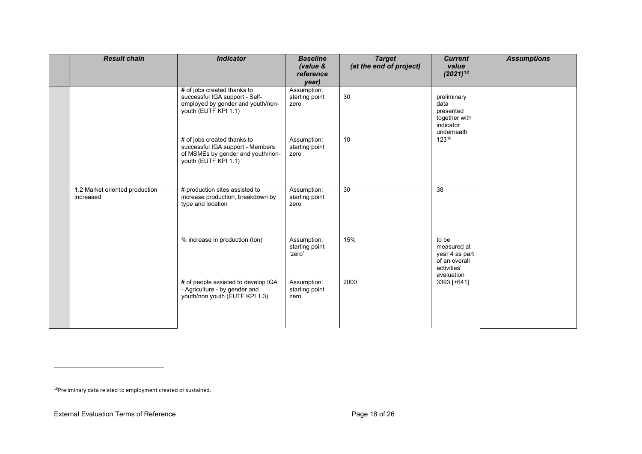<span id="page-17-0"></span>

| <b>Result chain</b>                         | <b>Indicator</b>                                                                                                                                                                                                                                           | <b>Baseline</b><br>(value &<br>reference<br>year)                              | <b>Target</b><br>(at the end of project) | <b>Current</b><br>value<br>$(2021)^{13}$                                                   | <b>Assumptions</b> |
|---------------------------------------------|------------------------------------------------------------------------------------------------------------------------------------------------------------------------------------------------------------------------------------------------------------|--------------------------------------------------------------------------------|------------------------------------------|--------------------------------------------------------------------------------------------|--------------------|
|                                             | # of jobs created thanks to<br>successful IGA support - Self-<br>employed by gender and youth/non-<br>youth (EUTF KPI 1.1)<br># of jobs created thanks to<br>successful IGA support - Members<br>of MSMEs by gender and youth/non-<br>youth (EUTF KPI 1.1) | Assumption:<br>starting point<br>zero<br>Assumption:<br>starting point<br>zero | 30<br>10                                 | preliminary<br>data<br>presented<br>together with<br>indicator<br>underneath<br>$123^{16}$ |                    |
| 1.2 Market oriented production<br>increased | # production sites assisted to<br>increase production, breakdown by<br>type and location                                                                                                                                                                   | Assumption:<br>starting point<br>zero                                          | 30                                       | 38                                                                                         |                    |
|                                             | % increase in production (ton)                                                                                                                                                                                                                             | Assumption:<br>starting point<br>'zero'                                        | 15%                                      | to be<br>measured at<br>year 4 as part<br>of an overall<br>activities'<br>evaluation       |                    |
|                                             | # of people assisted to develop IGA<br>- Agriculture - by gender and<br>youth/non youth (EUTF KPI 1.3)                                                                                                                                                     | Assumption:<br>starting point<br>zero                                          | 2000                                     | 3393 [+641]                                                                                |                    |

<sup>16</sup>Preliminary data related to employment created or sustained.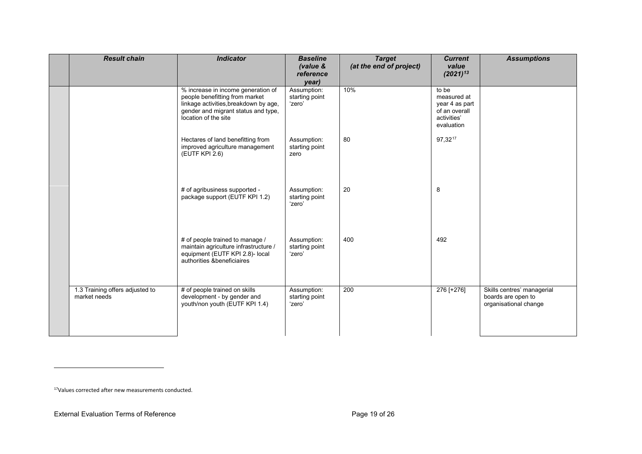<span id="page-18-0"></span>

| <b>Result chain</b>                             | <b>Indicator</b>                                                                                                                                                             | <b>Baseline</b><br>(value &<br>reference<br>year) | <b>Target</b><br>(at the end of project) | <b>Current</b><br>value<br>$(2021)^{13}$                                             | <b>Assumptions</b>                                                        |
|-------------------------------------------------|------------------------------------------------------------------------------------------------------------------------------------------------------------------------------|---------------------------------------------------|------------------------------------------|--------------------------------------------------------------------------------------|---------------------------------------------------------------------------|
|                                                 | % increase in income generation of<br>people benefitting from market<br>linkage activities, breakdown by age,<br>gender and migrant status and type,<br>location of the site | Assumption:<br>starting point<br>'zero'           | 10%                                      | to be<br>measured at<br>year 4 as part<br>of an overall<br>activities'<br>evaluation |                                                                           |
|                                                 | Hectares of land benefitting from<br>improved agriculture management<br>(EUTF KPI 2.6)                                                                                       | Assumption:<br>starting point<br>zero             | 80                                       | 97,3217                                                                              |                                                                           |
|                                                 | # of agribusiness supported -<br>package support (EUTF KPI 1.2)                                                                                                              | Assumption:<br>starting point<br>'zero'           | 20                                       | 8                                                                                    |                                                                           |
|                                                 | # of people trained to manage /<br>maintain agriculture infrastructure /<br>equipment (EUTF KPI 2.8)- local<br>authorities & beneficiaires                                   | Assumption:<br>starting point<br>'zero'           | 400                                      | 492                                                                                  |                                                                           |
| 1.3 Training offers adjusted to<br>market needs | # of people trained on skills<br>development - by gender and<br>youth/non youth (EUTF KPI 1.4)                                                                               | Assumption:<br>starting point<br>'zero'           | 200                                      | 276 [+276]                                                                           | Skills centres' managerial<br>boards are open to<br>organisational change |

<sup>17</sup>Values corrected after new measurements conducted.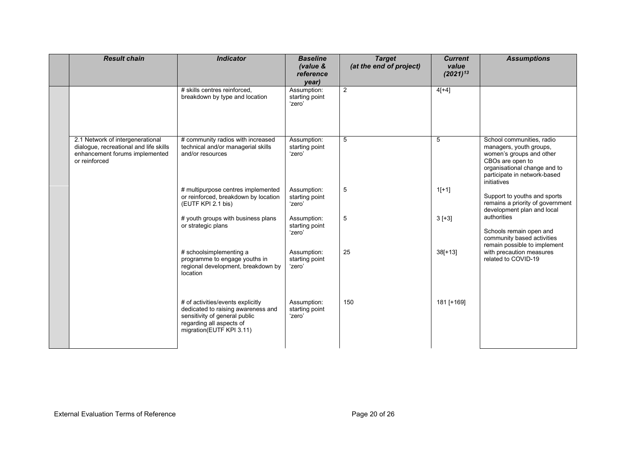| <b>Result chain</b>                                                                                                           | <b>Indicator</b>                                                                                                                                                 | <b>Baseline</b><br>(value &<br>reference<br>year) | <b>Target</b><br>(at the end of project) | <b>Current</b><br>value<br>$(2021)^{13}$ | <b>Assumptions</b>                                                                                                                                                                  |
|-------------------------------------------------------------------------------------------------------------------------------|------------------------------------------------------------------------------------------------------------------------------------------------------------------|---------------------------------------------------|------------------------------------------|------------------------------------------|-------------------------------------------------------------------------------------------------------------------------------------------------------------------------------------|
|                                                                                                                               | # skills centres reinforced.<br>breakdown by type and location                                                                                                   | Assumption:<br>starting point<br>'zero'           | 2                                        | $4[+4]$                                  |                                                                                                                                                                                     |
| 2.1 Network of intergenerational<br>dialoque, recreational and life skills<br>enhancement forums implemented<br>or reinforced | # community radios with increased<br>technical and/or managerial skills<br>and/or resources                                                                      | Assumption:<br>starting point<br>'zero'           | 5                                        | 5                                        | School communities, radio<br>managers, youth groups,<br>women's groups and other<br>CBOs are open to<br>organisational change and to<br>participate in network-based<br>initiatives |
|                                                                                                                               | # multipurpose centres implemented<br>or reinforced, breakdown by location<br>(EUTF KPI 2.1 bis)                                                                 | Assumption:<br>starting point<br>'zero'           | 5                                        | $1[+1]$                                  | Support to youths and sports<br>remains a priority of government<br>development plan and local                                                                                      |
|                                                                                                                               | # youth groups with business plans<br>or strategic plans                                                                                                         | Assumption:<br>starting point<br>'zero'           | $\mathbf 5$                              | $3[+3]$                                  | authorities<br>Schools remain open and<br>community based activities<br>remain possible to implement                                                                                |
|                                                                                                                               | # schoolsimplementing a<br>programme to engage youths in<br>regional development, breakdown by<br>location                                                       | Assumption:<br>starting point<br>'zero'           | 25                                       | $38[+13]$                                | with precaution measures<br>related to COVID-19                                                                                                                                     |
|                                                                                                                               | # of activities/events explicitly<br>dedicated to raising awareness and<br>sensitivity of general public<br>regarding all aspects of<br>migration(EUTF KPI 3.11) | Assumption:<br>starting point<br>'zero'           | 150                                      | 181 [+169]                               |                                                                                                                                                                                     |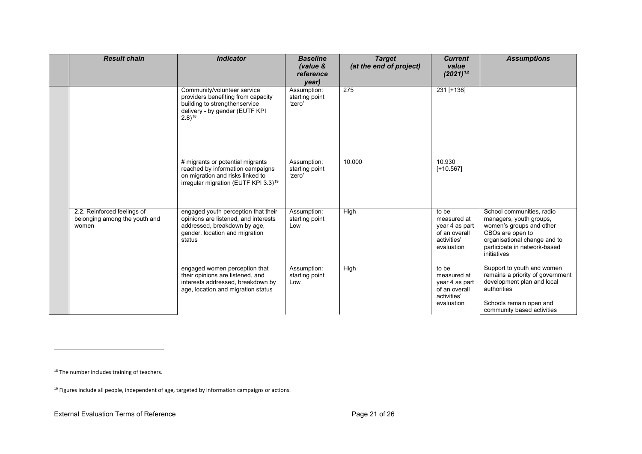<span id="page-20-1"></span><span id="page-20-0"></span>

| <b>Result chain</b>                                                   | <b>Indicator</b>                                                                                                                                             | <b>Baseline</b><br>(value &<br>reference<br>year) | <b>Target</b><br>(at the end of project) | <b>Current</b><br>value<br>$(2021)^{13}$                                             | <b>Assumptions</b>                                                                                                                                                                  |
|-----------------------------------------------------------------------|--------------------------------------------------------------------------------------------------------------------------------------------------------------|---------------------------------------------------|------------------------------------------|--------------------------------------------------------------------------------------|-------------------------------------------------------------------------------------------------------------------------------------------------------------------------------------|
|                                                                       | Community/volunteer service<br>providers benefiting from capacity<br>building to strengthenservice<br>delivery - by gender (EUTF KPI<br>$(2.8)^{18}$         | Assumption:<br>starting point<br>'zero'           | 275                                      | 231 [+138]                                                                           |                                                                                                                                                                                     |
|                                                                       | # migrants or potential migrants<br>reached by information campaigns<br>on migration and risks linked to<br>irregular migration (EUTF KPI 3.3) <sup>19</sup> | Assumption:<br>starting point<br>'zero'           | 10.000                                   | 10.930<br>$[+10.567]$                                                                |                                                                                                                                                                                     |
| 2.2. Reinforced feelings of<br>belonging among the youth and<br>women | engaged youth perception that their<br>opinions are listened, and interests<br>addressed, breakdown by age,<br>gender, location and migration<br>status      | Assumption:<br>starting point<br>Low              | High                                     | to be<br>measured at<br>year 4 as part<br>of an overall<br>activities'<br>evaluation | School communities, radio<br>managers, youth groups,<br>women's groups and other<br>CBOs are open to<br>organisational change and to<br>participate in network-based<br>initiatives |
|                                                                       | engaged women perception that<br>their opinions are listened, and<br>interests addressed, breakdown by<br>age, location and migration status                 | Assumption:<br>starting point<br>Low              | High                                     | to be<br>measured at<br>year 4 as part<br>of an overall<br>activities'<br>evaluation | Support to youth and women<br>remains a priority of government<br>development plan and local<br>authorities<br>Schools remain open and<br>community based activities                |

<sup>18</sup> The number includes training of teachers.

<sup>&</sup>lt;sup>19</sup> Figures include all people, independent of age, targeted by information campaigns or actions.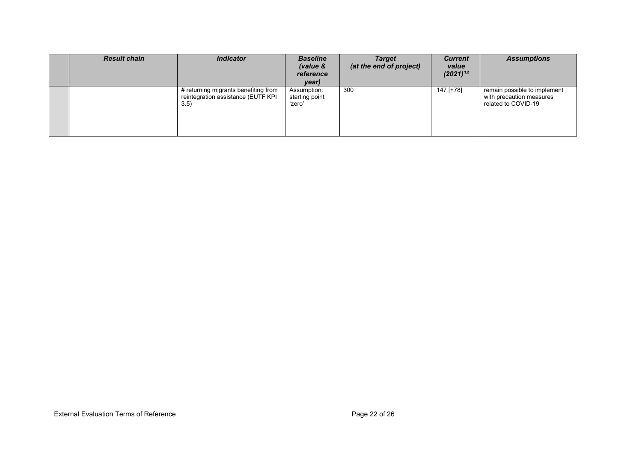| <b>Result chain</b> | <b>Indicator</b>                                                                   | <b>Baseline</b><br>(value &<br>reference<br>year) | <b>Target</b><br>(at the end of project) | <b>Current</b><br>value<br>$(2021)^{13}$ | <b>Assumptions</b>                                                              |
|---------------------|------------------------------------------------------------------------------------|---------------------------------------------------|------------------------------------------|------------------------------------------|---------------------------------------------------------------------------------|
|                     | # returning migrants benefiting from<br>reintegration assistance (EUTF KPI<br>3.5) | Assumption:<br>starting point<br>'zero'           | 300                                      | 147 [+78]                                | remain possible to implement<br>with precaution measures<br>related to COVID-19 |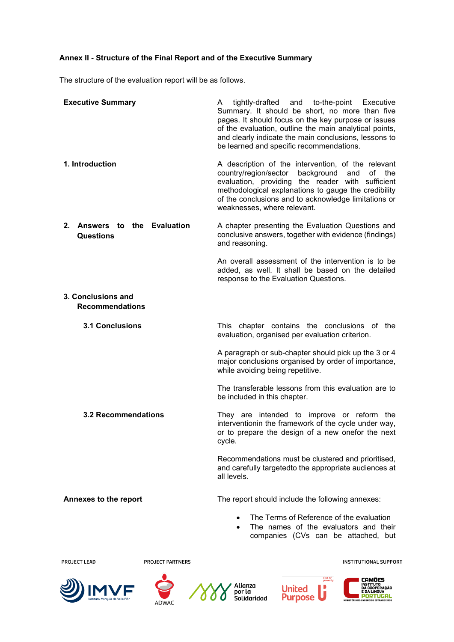# <span id="page-22-0"></span>**Annex II - Structure of the Final Report and of the Executive Summary**

The structure of the evaluation report will be as follows.

| <b>Executive Summary</b>                                    | tightly-drafted<br>and to-the-point Executive<br>A<br>Summary. It should be short, no more than five<br>pages. It should focus on the key purpose or issues<br>of the evaluation, outline the main analytical points,<br>and clearly indicate the main conclusions, lessons to<br>be learned and specific recommendations. |  |  |
|-------------------------------------------------------------|----------------------------------------------------------------------------------------------------------------------------------------------------------------------------------------------------------------------------------------------------------------------------------------------------------------------------|--|--|
| 1. Introduction                                             | A description of the intervention, of the relevant<br>country/region/sector<br>background<br>of the<br>and<br>evaluation, providing the reader with sufficient<br>methodological explanations to gauge the credibility<br>of the conclusions and to acknowledge limitations or<br>weaknesses, where relevant.              |  |  |
| <b>Evaluation</b><br>$2_{-}$<br>Answers to the<br>Questions | A chapter presenting the Evaluation Questions and<br>conclusive answers, together with evidence (findings)<br>and reasoning.                                                                                                                                                                                               |  |  |
|                                                             | An overall assessment of the intervention is to be<br>added, as well. It shall be based on the detailed<br>response to the Evaluation Questions.                                                                                                                                                                           |  |  |
| 3. Conclusions and<br><b>Recommendations</b>                |                                                                                                                                                                                                                                                                                                                            |  |  |
| <b>3.1 Conclusions</b>                                      | This chapter contains the conclusions of the<br>evaluation, organised per evaluation criterion.                                                                                                                                                                                                                            |  |  |
|                                                             | A paragraph or sub-chapter should pick up the 3 or 4<br>major conclusions organised by order of importance,<br>while avoiding being repetitive.                                                                                                                                                                            |  |  |
|                                                             | The transferable lessons from this evaluation are to<br>be included in this chapter.                                                                                                                                                                                                                                       |  |  |
| <b>3.2 Recommendations</b>                                  | They are intended to improve or reform the<br>interventionin the framework of the cycle under way,<br>or to prepare the design of a new onefor the next<br>cycle.                                                                                                                                                          |  |  |
|                                                             | Recommendations must be clustered and prioritised,<br>and carefully targetedto the appropriate audiences at<br>all levels.                                                                                                                                                                                                 |  |  |
| Annexes to the report                                       | The report should include the following annexes:                                                                                                                                                                                                                                                                           |  |  |
|                                                             | The Terms of Reference of the evaluation<br>The names of the evaluators and their<br>companies (CVs can be attached, but                                                                                                                                                                                                   |  |  |

**PROJECT LEAD** 

**PROJECT PARTNERS** 









**I CAMÕES<br>DA COOPERAÇÃO<br>DA COOPERAÇÃO<br><b>I PORTUGAL**<br>I PORTUGAL

**INSTITUTIONAL SUPPORT**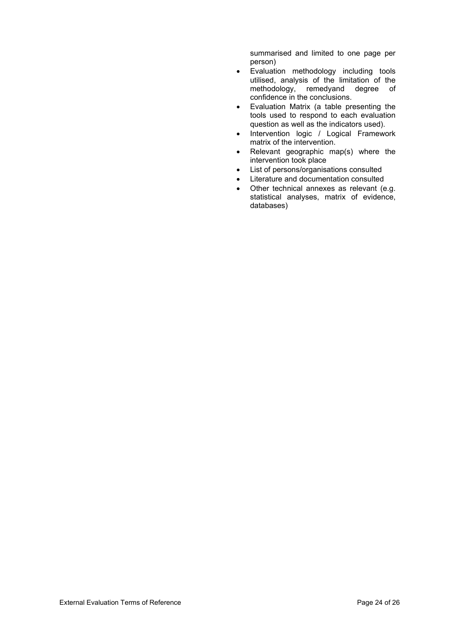summarised and limited to one page per person)

- Evaluation methodology including tools utilised, analysis of the limitation of the methodology, remedyand degree of confidence in the conclusions.
- Evaluation Matrix (a table presenting the tools used to respond to each evaluation question as well as the indicators used).
- Intervention logic / Logical Framework matrix of the intervention.
- Relevant geographic map(s) where the intervention took place
- List of persons/organisations consulted
- Literature and documentation consulted
- Other technical annexes as relevant (e.g. statistical analyses, matrix of evidence, databases)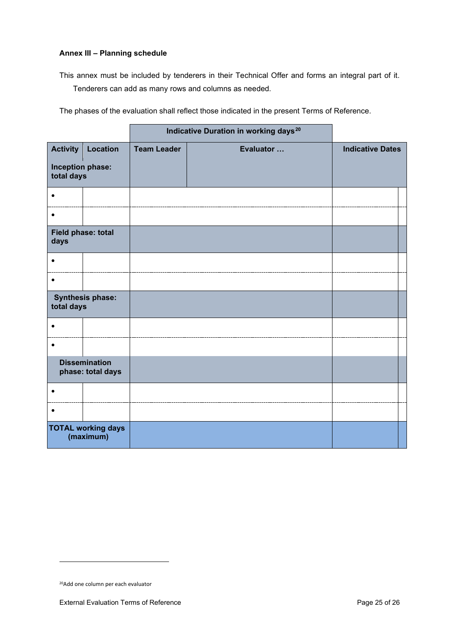# <span id="page-24-0"></span>**Annex III – Planning schedule**

This annex must be included by tenderers in their Technical Offer and forms an integral part of it. Tenderers can add as many rows and columns as needed.

The phases of the evaluation shall reflect those indicated in the present Terms of Reference.

|                                           |                 | Indicative Duration in working days <sup>20</sup> |           |                         |
|-------------------------------------------|-----------------|---------------------------------------------------|-----------|-------------------------|
| <b>Activity</b>                           | <b>Location</b> | <b>Team Leader</b>                                | Evaluator | <b>Indicative Dates</b> |
| Inception phase:<br>total days            |                 |                                                   |           |                         |
| $\bullet$                                 |                 |                                                   |           |                         |
| $\bullet$                                 |                 |                                                   |           |                         |
| Field phase: total<br>days                |                 |                                                   |           |                         |
| $\bullet$                                 |                 |                                                   |           |                         |
| $\bullet$                                 |                 |                                                   |           |                         |
| <b>Synthesis phase:</b><br>total days     |                 |                                                   |           |                         |
| $\bullet$                                 |                 |                                                   |           |                         |
| $\bullet$                                 |                 |                                                   |           |                         |
| <b>Dissemination</b><br>phase: total days |                 |                                                   |           |                         |
| $\bullet$                                 |                 |                                                   |           |                         |
| $\bullet$                                 |                 |                                                   |           |                         |
| <b>TOTAL working days</b><br>(maximum)    |                 |                                                   |           |                         |

<span id="page-24-1"></span><sup>20</sup>Add one column per each evaluator